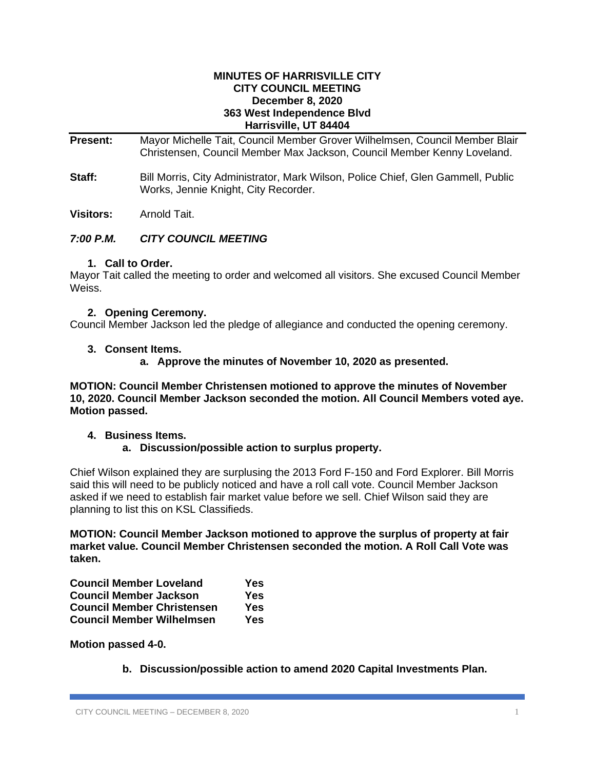#### **MINUTES OF HARRISVILLE CITY CITY COUNCIL MEETING December 8, 2020 363 West Independence Blvd Harrisville, UT 84404**

**Present:** Mayor Michelle Tait, Council Member Grover Wilhelmsen, Council Member Blair Christensen, Council Member Max Jackson, Council Member Kenny Loveland.

**Staff:** Bill Morris, City Administrator, Mark Wilson, Police Chief, Glen Gammell, Public Works, Jennie Knight, City Recorder.

**Visitors:** Arnold Tait.

# *7:00 P.M. CITY COUNCIL MEETING*

## **1. Call to Order.**

Mayor Tait called the meeting to order and welcomed all visitors. She excused Council Member Weiss.

## **2. Opening Ceremony.**

Council Member Jackson led the pledge of allegiance and conducted the opening ceremony.

## **3. Consent Items.**

**a. Approve the minutes of November 10, 2020 as presented.**

**MOTION: Council Member Christensen motioned to approve the minutes of November 10, 2020. Council Member Jackson seconded the motion. All Council Members voted aye. Motion passed.**

#### **4. Business Items.**

#### **a. Discussion/possible action to surplus property.**

Chief Wilson explained they are surplusing the 2013 Ford F-150 and Ford Explorer. Bill Morris said this will need to be publicly noticed and have a roll call vote. Council Member Jackson asked if we need to establish fair market value before we sell. Chief Wilson said they are planning to list this on KSL Classifieds.

**MOTION: Council Member Jackson motioned to approve the surplus of property at fair market value. Council Member Christensen seconded the motion. A Roll Call Vote was taken.**

| <b>Council Member Loveland</b>    | Yes |
|-----------------------------------|-----|
| <b>Council Member Jackson</b>     | Yes |
| <b>Council Member Christensen</b> | Yes |
| <b>Council Member Wilhelmsen</b>  | Yes |

**Motion passed 4-0.**

**b. Discussion/possible action to amend 2020 Capital Investments Plan.**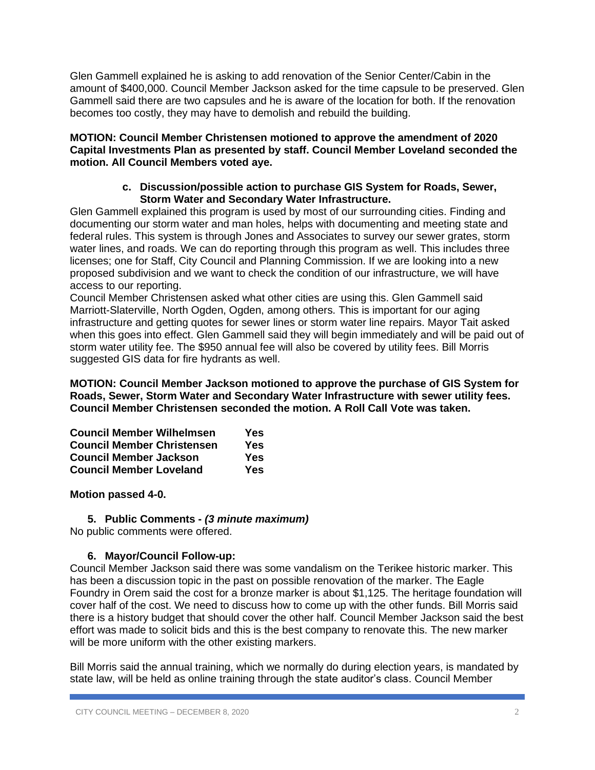Glen Gammell explained he is asking to add renovation of the Senior Center/Cabin in the amount of \$400,000. Council Member Jackson asked for the time capsule to be preserved. Glen Gammell said there are two capsules and he is aware of the location for both. If the renovation becomes too costly, they may have to demolish and rebuild the building.

**MOTION: Council Member Christensen motioned to approve the amendment of 2020 Capital Investments Plan as presented by staff. Council Member Loveland seconded the motion. All Council Members voted aye.**

### **c. Discussion/possible action to purchase GIS System for Roads, Sewer, Storm Water and Secondary Water Infrastructure.**

Glen Gammell explained this program is used by most of our surrounding cities. Finding and documenting our storm water and man holes, helps with documenting and meeting state and federal rules. This system is through Jones and Associates to survey our sewer grates, storm water lines, and roads. We can do reporting through this program as well. This includes three licenses; one for Staff, City Council and Planning Commission. If we are looking into a new proposed subdivision and we want to check the condition of our infrastructure, we will have access to our reporting.

Council Member Christensen asked what other cities are using this. Glen Gammell said Marriott-Slaterville, North Ogden, Ogden, among others. This is important for our aging infrastructure and getting quotes for sewer lines or storm water line repairs. Mayor Tait asked when this goes into effect. Glen Gammell said they will begin immediately and will be paid out of storm water utility fee. The \$950 annual fee will also be covered by utility fees. Bill Morris suggested GIS data for fire hydrants as well.

**MOTION: Council Member Jackson motioned to approve the purchase of GIS System for Roads, Sewer, Storm Water and Secondary Water Infrastructure with sewer utility fees. Council Member Christensen seconded the motion. A Roll Call Vote was taken.**

| <b>Council Member Wilhelmsen</b>  | Yes |
|-----------------------------------|-----|
| <b>Council Member Christensen</b> | Yes |
| <b>Council Member Jackson</b>     | Yes |
| <b>Council Member Loveland</b>    | Yes |

**Motion passed 4-0.**

## **5. Public Comments -** *(3 minute maximum)*

No public comments were offered.

## **6. Mayor/Council Follow-up:**

Council Member Jackson said there was some vandalism on the Terikee historic marker. This has been a discussion topic in the past on possible renovation of the marker. The Eagle Foundry in Orem said the cost for a bronze marker is about \$1,125. The heritage foundation will cover half of the cost. We need to discuss how to come up with the other funds. Bill Morris said there is a history budget that should cover the other half. Council Member Jackson said the best effort was made to solicit bids and this is the best company to renovate this. The new marker will be more uniform with the other existing markers.

Bill Morris said the annual training, which we normally do during election years, is mandated by state law, will be held as online training through the state auditor's class. Council Member